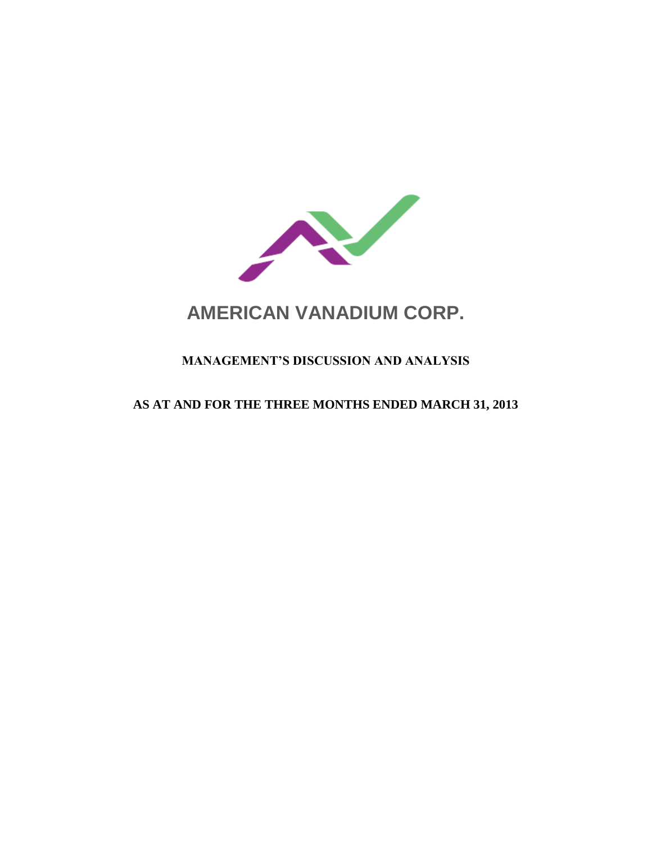

# **AMERICAN VANADIUM CORP.**

# **MANAGEMENT'S DISCUSSION AND ANALYSIS**

## **AS AT AND FOR THE THREE MONTHS ENDED MARCH 31, 2013**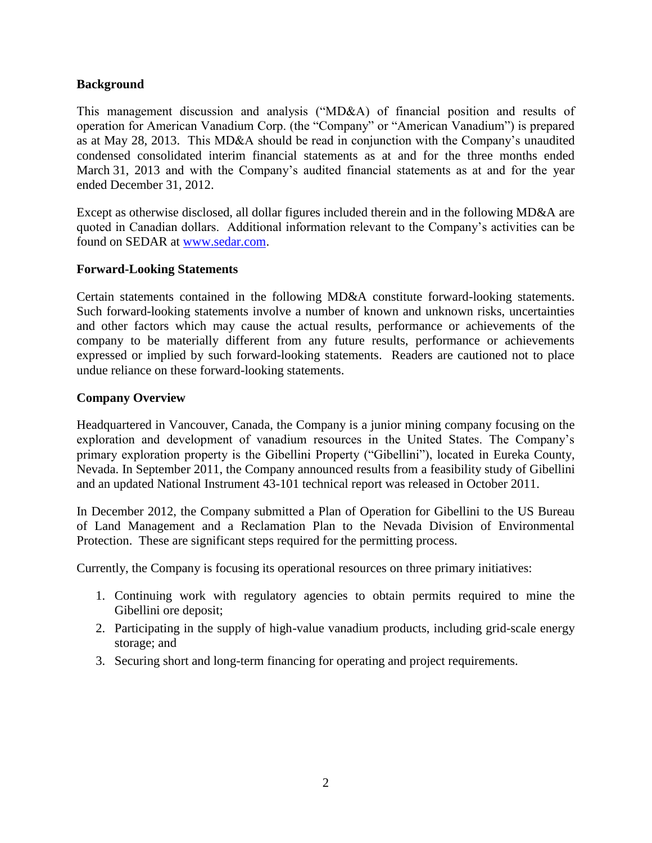## **Background**

This management discussion and analysis ("MD&A) of financial position and results of operation for American Vanadium Corp. (the "Company" or "American Vanadium") is prepared as at May 28, 2013. This MD&A should be read in conjunction with the Company's unaudited condensed consolidated interim financial statements as at and for the three months ended March 31, 2013 and with the Company's audited financial statements as at and for the year ended December 31, 2012.

Except as otherwise disclosed, all dollar figures included therein and in the following MD&A are quoted in Canadian dollars. Additional information relevant to the Company's activities can be found on SEDAR at [www.sedar.com.](http://www.sedar.com/)

## **Forward-Looking Statements**

Certain statements contained in the following MD&A constitute forward-looking statements. Such forward-looking statements involve a number of known and unknown risks, uncertainties and other factors which may cause the actual results, performance or achievements of the company to be materially different from any future results, performance or achievements expressed or implied by such forward-looking statements. Readers are cautioned not to place undue reliance on these forward-looking statements.

## **Company Overview**

Headquartered in Vancouver, Canada, the Company is a junior mining company focusing on the exploration and development of vanadium resources in the United States. The Company's primary exploration property is the Gibellini Property ("Gibellini"), located in Eureka County, Nevada. In September 2011, the Company announced results from a feasibility study of Gibellini and an updated National Instrument 43-101 technical report was released in October 2011.

In December 2012, the Company submitted a Plan of Operation for Gibellini to the US Bureau of Land Management and a Reclamation Plan to the Nevada Division of Environmental Protection. These are significant steps required for the permitting process.

Currently, the Company is focusing its operational resources on three primary initiatives:

- 1. Continuing work with regulatory agencies to obtain permits required to mine the Gibellini ore deposit;
- 2. Participating in the supply of high-value vanadium products, including grid-scale energy storage; and
- 3. Securing short and long-term financing for operating and project requirements.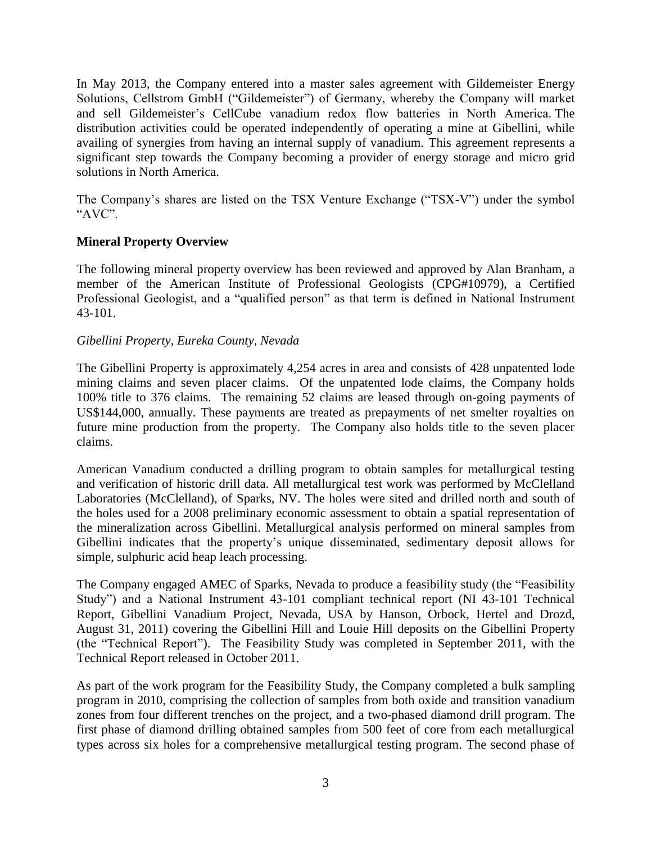In May 2013, the Company entered into a master sales agreement with Gildemeister Energy Solutions, Cellstrom GmbH ("Gildemeister") of Germany, whereby the Company will market and sell Gildemeister's CellCube vanadium redox flow batteries in North America. The distribution activities could be operated independently of operating a mine at Gibellini, while availing of synergies from having an internal supply of vanadium. This agreement represents a significant step towards the Company becoming a provider of energy storage and micro grid solutions in North America.

The Company's shares are listed on the TSX Venture Exchange ("TSX-V") under the symbol "AVC".

## **Mineral Property Overview**

The following mineral property overview has been reviewed and approved by Alan Branham, a member of the American Institute of Professional Geologists (CPG#10979), a Certified Professional Geologist, and a "qualified person" as that term is defined in National Instrument 43-101.

## *Gibellini Property, Eureka County, Nevada*

The Gibellini Property is approximately 4,254 acres in area and consists of 428 unpatented lode mining claims and seven placer claims. Of the unpatented lode claims, the Company holds 100% title to 376 claims. The remaining 52 claims are leased through on-going payments of US\$144,000, annually. These payments are treated as prepayments of net smelter royalties on future mine production from the property. The Company also holds title to the seven placer claims.

American Vanadium conducted a drilling program to obtain samples for metallurgical testing and verification of historic drill data. All metallurgical test work was performed by McClelland Laboratories (McClelland), of Sparks, NV. The holes were sited and drilled north and south of the holes used for a 2008 preliminary economic assessment to obtain a spatial representation of the mineralization across Gibellini. Metallurgical analysis performed on mineral samples from Gibellini indicates that the property's unique disseminated, sedimentary deposit allows for simple, sulphuric acid heap leach processing.

The Company engaged AMEC of Sparks, Nevada to produce a feasibility study (the "Feasibility Study") and a National Instrument 43-101 compliant technical report (NI 43-101 Technical Report, Gibellini Vanadium Project, Nevada, USA by Hanson, Orbock, Hertel and Drozd, August 31, 2011) covering the Gibellini Hill and Louie Hill deposits on the Gibellini Property (the "Technical Report"). The Feasibility Study was completed in September 2011, with the Technical Report released in October 2011.

As part of the work program for the Feasibility Study, the Company completed a bulk sampling program in 2010, comprising the collection of samples from both oxide and transition vanadium zones from four different trenches on the project, and a two-phased diamond drill program. The first phase of diamond drilling obtained samples from 500 feet of core from each metallurgical types across six holes for a comprehensive metallurgical testing program. The second phase of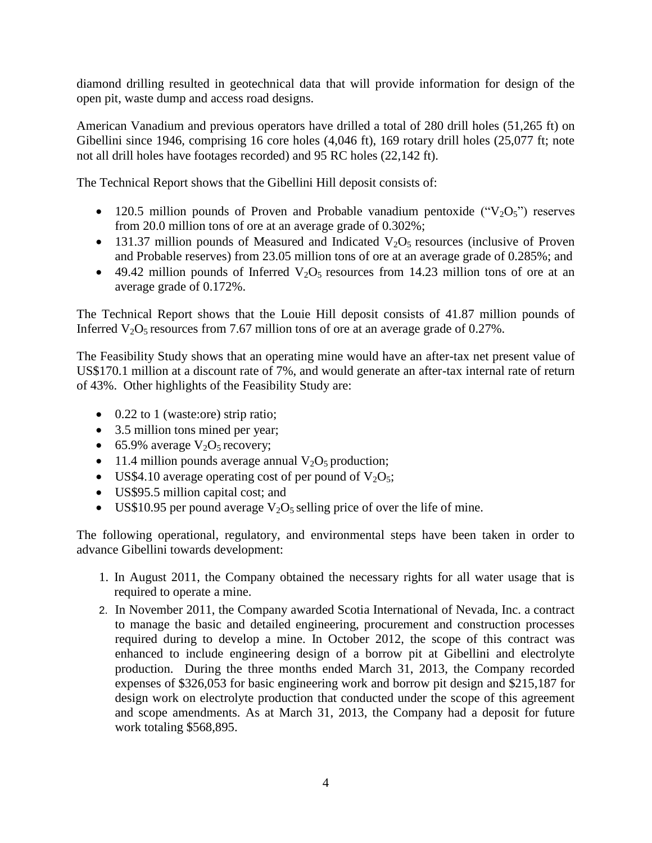diamond drilling resulted in geotechnical data that will provide information for design of the open pit, waste dump and access road designs.

American Vanadium and previous operators have drilled a total of 280 drill holes (51,265 ft) on Gibellini since 1946, comprising 16 core holes (4,046 ft), 169 rotary drill holes (25,077 ft; note not all drill holes have footages recorded) and 95 RC holes (22,142 ft).

The Technical Report shows that the Gibellini Hill deposit consists of:

- 120.5 million pounds of Proven and Probable vanadium pentoxide  $("V<sub>2</sub>O<sub>5</sub>")$  reserves from 20.0 million tons of ore at an average grade of 0.302%;
- 131.37 million pounds of Measured and Indicated  $V_2O_5$  resources (inclusive of Proven and Probable reserves) from 23.05 million tons of ore at an average grade of 0.285%; and
- $\bullet$  49.42 million pounds of Inferred V<sub>2</sub>O<sub>5</sub> resources from 14.23 million tons of ore at an average grade of 0.172%.

The Technical Report shows that the Louie Hill deposit consists of 41.87 million pounds of Inferred  $V_2O_5$  resources from 7.67 million tons of ore at an average grade of 0.27%.

The Feasibility Study shows that an operating mine would have an after-tax net present value of US\$170.1 million at a discount rate of 7%, and would generate an after-tax internal rate of return of 43%. Other highlights of the Feasibility Study are:

- $\bullet$  0.22 to 1 (waste:ore) strip ratio;
- 3.5 million tons mined per year;
- 65.9% average  $V_2O_5$  recovery;
- 11.4 million pounds average annual  $V_2O_5$  production;
- US\$4.10 average operating cost of per pound of  $V_2O_5$ ;
- US\$95.5 million capital cost; and
- US\$10.95 per pound average  $V_2O_5$  selling price of over the life of mine.

The following operational, regulatory, and environmental steps have been taken in order to advance Gibellini towards development:

- 1. In August 2011, the Company obtained the necessary rights for all water usage that is required to operate a mine.
- 2. In November 2011, the Company awarded Scotia International of Nevada, Inc. a contract to manage the basic and detailed engineering, procurement and construction processes required during to develop a mine. In October 2012, the scope of this contract was enhanced to include engineering design of a borrow pit at Gibellini and electrolyte production. During the three months ended March 31, 2013, the Company recorded expenses of \$326,053 for basic engineering work and borrow pit design and \$215,187 for design work on electrolyte production that conducted under the scope of this agreement and scope amendments. As at March 31, 2013, the Company had a deposit for future work totaling \$568,895.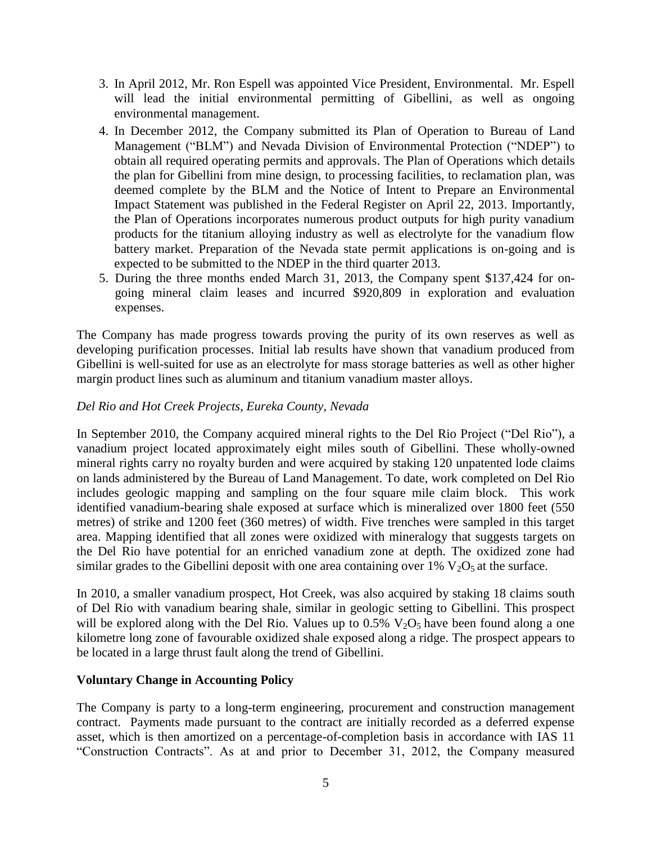- 3. In April 2012, Mr. Ron Espell was appointed Vice President, Environmental. Mr. Espell will lead the initial environmental permitting of Gibellini, as well as ongoing environmental management.
- 4. In December 2012, the Company submitted its Plan of Operation to Bureau of Land Management ("BLM") and Nevada Division of Environmental Protection ("NDEP") to obtain all required operating permits and approvals. The Plan of Operations which details the plan for Gibellini from mine design, to processing facilities, to reclamation plan, was deemed complete by the BLM and the Notice of Intent to Prepare an Environmental Impact Statement was published in the Federal Register on April 22, 2013. Importantly, the Plan of Operations incorporates numerous product outputs for high purity vanadium products for the titanium alloying industry as well as electrolyte for the vanadium flow battery market. Preparation of the Nevada state permit applications is on-going and is expected to be submitted to the NDEP in the third quarter 2013.
- 5. During the three months ended March 31, 2013, the Company spent \$137,424 for ongoing mineral claim leases and incurred \$920,809 in exploration and evaluation expenses.

The Company has made progress towards proving the purity of its own reserves as well as developing purification processes. Initial lab results have shown that vanadium produced from Gibellini is well-suited for use as an electrolyte for mass storage batteries as well as other higher margin product lines such as aluminum and titanium vanadium master alloys.

## *Del Rio and Hot Creek Projects, Eureka County, Nevada*

In September 2010, the Company acquired mineral rights to the Del Rio Project ("Del Rio"), a vanadium project located approximately eight miles south of Gibellini. These wholly-owned mineral rights carry no royalty burden and were acquired by staking 120 unpatented lode claims on lands administered by the Bureau of Land Management. To date, work completed on Del Rio includes geologic mapping and sampling on the four square mile claim block. This work identified vanadium-bearing shale exposed at surface which is mineralized over 1800 feet (550 metres) of strike and 1200 feet (360 metres) of width. Five trenches were sampled in this target area. Mapping identified that all zones were oxidized with mineralogy that suggests targets on the Del Rio have potential for an enriched vanadium zone at depth. The oxidized zone had similar grades to the Gibellini deposit with one area containing over  $1\%$  V<sub>2</sub>O<sub>5</sub> at the surface.

In 2010, a smaller vanadium prospect, Hot Creek, was also acquired by staking 18 claims south of Del Rio with vanadium bearing shale, similar in geologic setting to Gibellini. This prospect will be explored along with the Del Rio. Values up to 0.5%  $V_2O_5$  have been found along a one kilometre long zone of favourable oxidized shale exposed along a ridge. The prospect appears to be located in a large thrust fault along the trend of Gibellini.

## **Voluntary Change in Accounting Policy**

The Company is party to a long-term engineering, procurement and construction management contract. Payments made pursuant to the contract are initially recorded as a deferred expense asset, which is then amortized on a percentage-of-completion basis in accordance with IAS 11 "Construction Contracts". As at and prior to December 31, 2012, the Company measured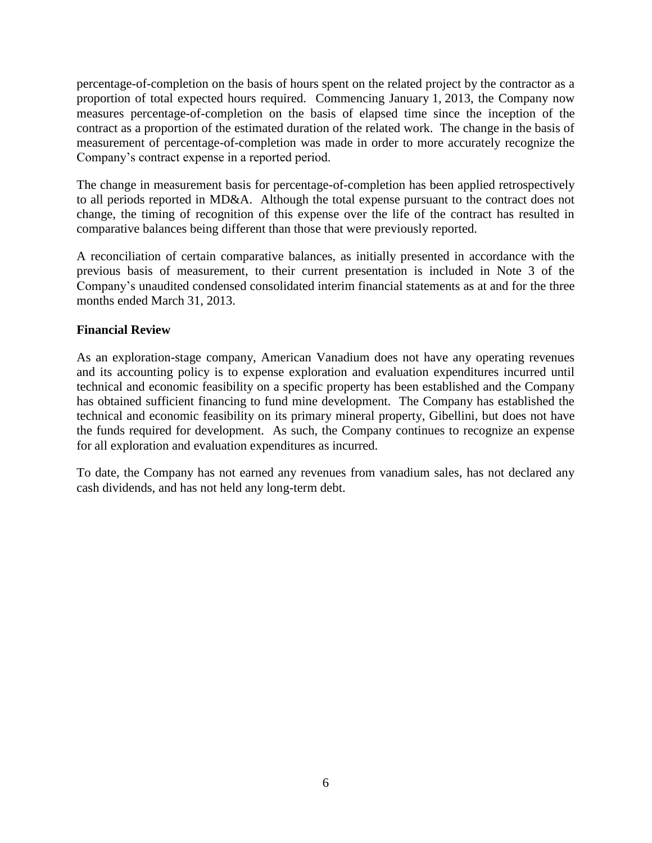percentage-of-completion on the basis of hours spent on the related project by the contractor as a proportion of total expected hours required. Commencing January 1, 2013, the Company now measures percentage-of-completion on the basis of elapsed time since the inception of the contract as a proportion of the estimated duration of the related work. The change in the basis of measurement of percentage-of-completion was made in order to more accurately recognize the Company's contract expense in a reported period.

The change in measurement basis for percentage-of-completion has been applied retrospectively to all periods reported in MD&A. Although the total expense pursuant to the contract does not change, the timing of recognition of this expense over the life of the contract has resulted in comparative balances being different than those that were previously reported.

A reconciliation of certain comparative balances, as initially presented in accordance with the previous basis of measurement, to their current presentation is included in Note 3 of the Company's unaudited condensed consolidated interim financial statements as at and for the three months ended March 31, 2013.

## **Financial Review**

As an exploration-stage company, American Vanadium does not have any operating revenues and its accounting policy is to expense exploration and evaluation expenditures incurred until technical and economic feasibility on a specific property has been established and the Company has obtained sufficient financing to fund mine development. The Company has established the technical and economic feasibility on its primary mineral property, Gibellini, but does not have the funds required for development. As such, the Company continues to recognize an expense for all exploration and evaluation expenditures as incurred.

To date, the Company has not earned any revenues from vanadium sales, has not declared any cash dividends, and has not held any long-term debt.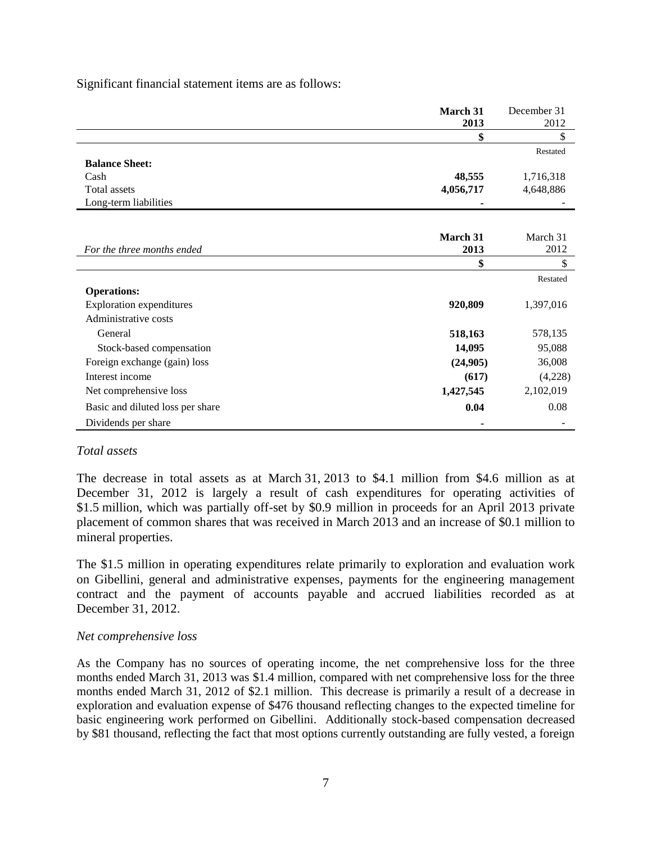Significant financial statement items are as follows:

|                                  | March 31  | December 31 |
|----------------------------------|-----------|-------------|
|                                  | 2013      | 2012        |
|                                  | \$        |             |
|                                  |           | Restated    |
| <b>Balance Sheet:</b>            |           |             |
| Cash                             | 48,555    | 1,716,318   |
| Total assets                     | 4,056,717 | 4,648,886   |
| Long-term liabilities            |           |             |
|                                  |           |             |
|                                  | March 31  | March 31    |
| For the three months ended       | 2013      | 2012        |
|                                  |           |             |
|                                  |           | Restated    |
| <b>Operations:</b>               |           |             |
| <b>Exploration expenditures</b>  | 920,809   | 1,397,016   |
| Administrative costs             |           |             |
| General                          | 518,163   | 578,135     |
| Stock-based compensation         | 14,095    | 95,088      |
| Foreign exchange (gain) loss     | (24,905)  | 36,008      |
| Interest income                  | (617)     | (4,228)     |
| Net comprehensive loss           | 1,427,545 | 2,102,019   |
| Basic and diluted loss per share | 0.04      | 0.08        |
| Dividends per share              |           |             |

#### *Total assets*

The decrease in total assets as at March 31, 2013 to \$4.1 million from \$4.6 million as at December 31, 2012 is largely a result of cash expenditures for operating activities of \$1.5 million, which was partially off-set by \$0.9 million in proceeds for an April 2013 private placement of common shares that was received in March 2013 and an increase of \$0.1 million to mineral properties.

The \$1.5 million in operating expenditures relate primarily to exploration and evaluation work on Gibellini, general and administrative expenses, payments for the engineering management contract and the payment of accounts payable and accrued liabilities recorded as at December 31, 2012.

#### *Net comprehensive loss*

As the Company has no sources of operating income, the net comprehensive loss for the three months ended March 31, 2013 was \$1.4 million, compared with net comprehensive loss for the three months ended March 31, 2012 of \$2.1 million. This decrease is primarily a result of a decrease in exploration and evaluation expense of \$476 thousand reflecting changes to the expected timeline for basic engineering work performed on Gibellini. Additionally stock-based compensation decreased by \$81 thousand, reflecting the fact that most options currently outstanding are fully vested, a foreign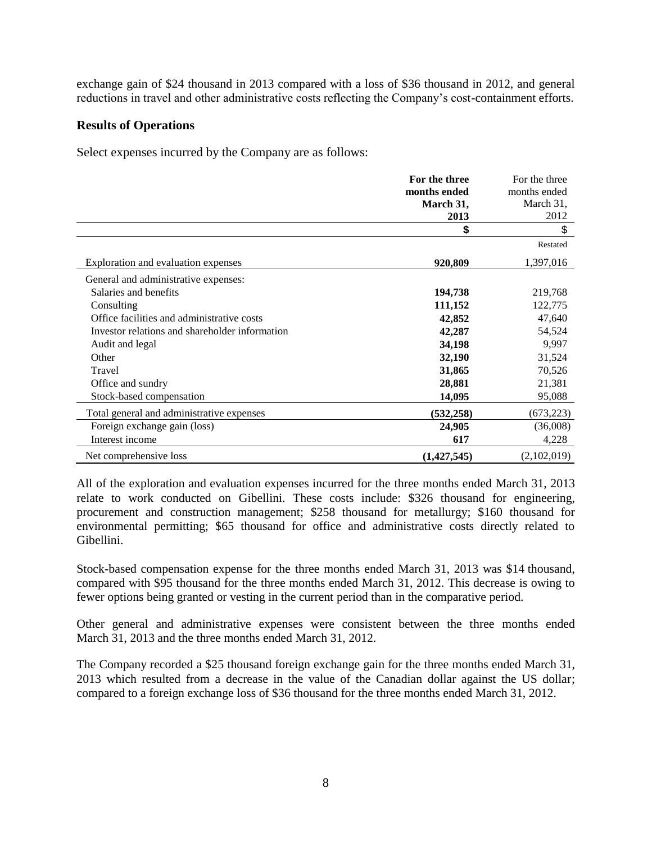exchange gain of \$24 thousand in 2013 compared with a loss of \$36 thousand in 2012, and general reductions in travel and other administrative costs reflecting the Company's cost-containment efforts.

## **Results of Operations**

Select expenses incurred by the Company are as follows:

|                                                | For the three | For the three |
|------------------------------------------------|---------------|---------------|
|                                                | months ended  | months ended  |
|                                                | March 31,     | March 31,     |
|                                                | 2013          | 2012          |
|                                                | \$            | \$            |
|                                                |               | Restated      |
| Exploration and evaluation expenses            | 920,809       | 1,397,016     |
| General and administrative expenses:           |               |               |
| Salaries and benefits                          | 194,738       | 219,768       |
| Consulting                                     | 111,152       | 122,775       |
| Office facilities and administrative costs     | 42,852        | 47,640        |
| Investor relations and shareholder information | 42,287        | 54,524        |
| Audit and legal                                | 34,198        | 9,997         |
| Other                                          | 32,190        | 31,524        |
| Travel                                         | 31,865        | 70,526        |
| Office and sundry                              | 28,881        | 21,381        |
| Stock-based compensation                       | 14,095        | 95,088        |
| Total general and administrative expenses      | (532, 258)    | (673, 223)    |
| Foreign exchange gain (loss)                   | 24,905        | (36,008)      |
| Interest income                                | 617           | 4,228         |
| Net comprehensive loss                         | (1,427,545)   | (2,102,019)   |

All of the exploration and evaluation expenses incurred for the three months ended March 31, 2013 relate to work conducted on Gibellini. These costs include: \$326 thousand for engineering, procurement and construction management; \$258 thousand for metallurgy; \$160 thousand for environmental permitting; \$65 thousand for office and administrative costs directly related to Gibellini.

Stock-based compensation expense for the three months ended March 31, 2013 was \$14 thousand, compared with \$95 thousand for the three months ended March 31, 2012. This decrease is owing to fewer options being granted or vesting in the current period than in the comparative period.

Other general and administrative expenses were consistent between the three months ended March 31, 2013 and the three months ended March 31, 2012.

The Company recorded a \$25 thousand foreign exchange gain for the three months ended March 31, 2013 which resulted from a decrease in the value of the Canadian dollar against the US dollar; compared to a foreign exchange loss of \$36 thousand for the three months ended March 31, 2012.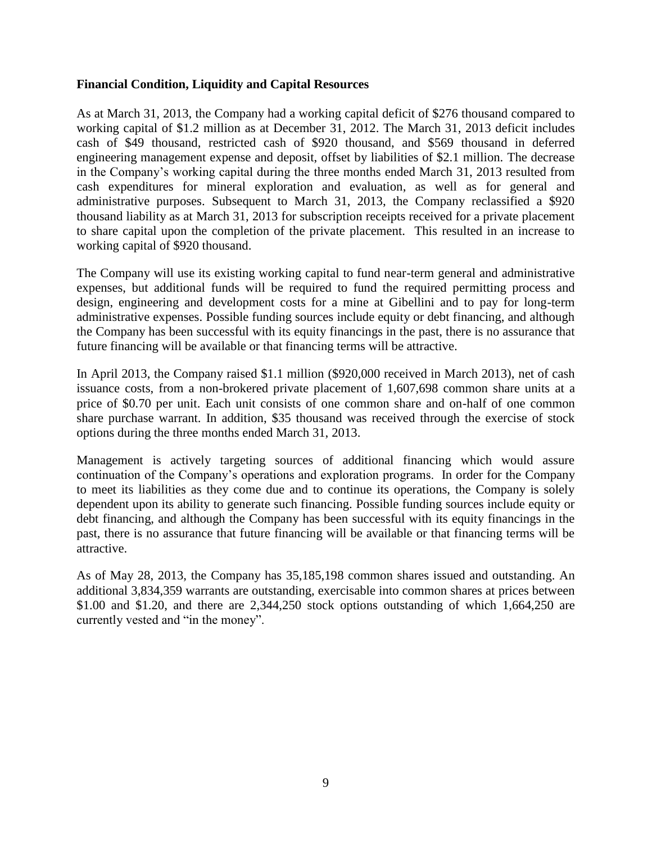## **Financial Condition, Liquidity and Capital Resources**

As at March 31, 2013, the Company had a working capital deficit of \$276 thousand compared to working capital of \$1.2 million as at December 31, 2012. The March 31, 2013 deficit includes cash of \$49 thousand, restricted cash of \$920 thousand, and \$569 thousand in deferred engineering management expense and deposit, offset by liabilities of \$2.1 million. The decrease in the Company's working capital during the three months ended March 31, 2013 resulted from cash expenditures for mineral exploration and evaluation, as well as for general and administrative purposes. Subsequent to March 31, 2013, the Company reclassified a \$920 thousand liability as at March 31, 2013 for subscription receipts received for a private placement to share capital upon the completion of the private placement. This resulted in an increase to working capital of \$920 thousand.

The Company will use its existing working capital to fund near-term general and administrative expenses, but additional funds will be required to fund the required permitting process and design, engineering and development costs for a mine at Gibellini and to pay for long-term administrative expenses. Possible funding sources include equity or debt financing, and although the Company has been successful with its equity financings in the past, there is no assurance that future financing will be available or that financing terms will be attractive.

In April 2013, the Company raised \$1.1 million (\$920,000 received in March 2013), net of cash issuance costs, from a non-brokered private placement of 1,607,698 common share units at a price of \$0.70 per unit. Each unit consists of one common share and on-half of one common share purchase warrant. In addition, \$35 thousand was received through the exercise of stock options during the three months ended March 31, 2013.

Management is actively targeting sources of additional financing which would assure continuation of the Company's operations and exploration programs. In order for the Company to meet its liabilities as they come due and to continue its operations, the Company is solely dependent upon its ability to generate such financing. Possible funding sources include equity or debt financing, and although the Company has been successful with its equity financings in the past, there is no assurance that future financing will be available or that financing terms will be attractive.

As of May 28, 2013, the Company has 35,185,198 common shares issued and outstanding. An additional 3,834,359 warrants are outstanding, exercisable into common shares at prices between \$1.00 and \$1.20, and there are 2,344,250 stock options outstanding of which 1,664,250 are currently vested and "in the money".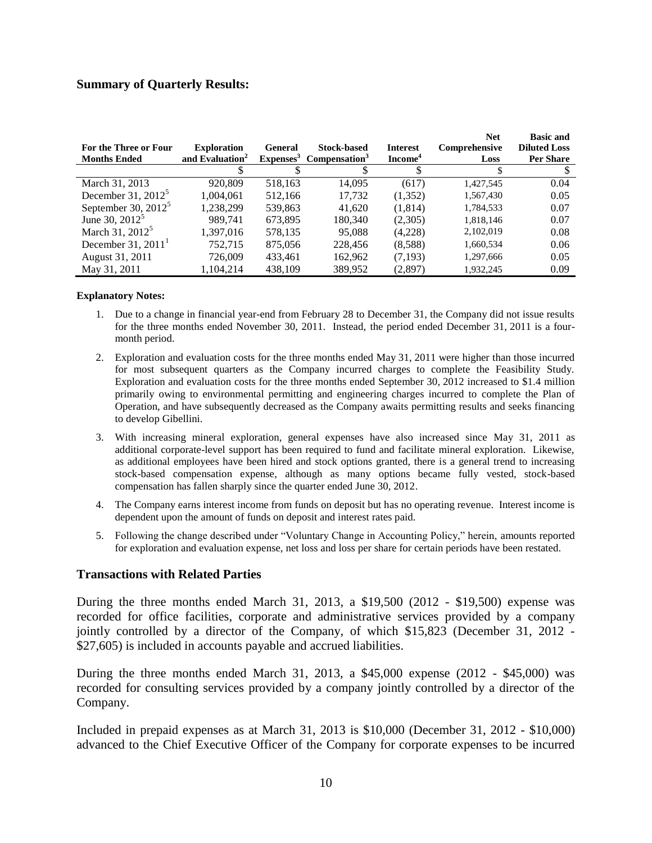## **Summary of Quarterly Results:**

| For the Three or Four<br><b>Months Ended</b> | <b>Exploration</b><br>and Evaluation <sup>2</sup> | General<br>Expenses <sup>3</sup> | <b>Stock-based</b><br>Compensation <sup>3</sup> | <b>Interest</b><br>Income <sup>4</sup> | <b>Net</b><br>Comprehensive<br>Loss | <b>Basic and</b><br><b>Diluted Loss</b><br><b>Per Share</b> |
|----------------------------------------------|---------------------------------------------------|----------------------------------|-------------------------------------------------|----------------------------------------|-------------------------------------|-------------------------------------------------------------|
|                                              |                                                   |                                  |                                                 |                                        |                                     |                                                             |
|                                              |                                                   |                                  |                                                 |                                        |                                     |                                                             |
| March 31, 2013                               | 920,809                                           | 518,163                          | 14.095                                          | (617)                                  | 1.427.545                           | 0.04                                                        |
| December 31, $2012^5$                        | 1,004,061                                         | 512,166                          | 17,732                                          | (1,352)                                | 1,567,430                           | 0.05                                                        |
| September 30, $2012^5$                       | 1,238,299                                         | 539,863                          | 41.620                                          | (1,814)                                | 1,784,533                           | 0.07                                                        |
| June 30, $2012^5$                            | 989.741                                           | 673,895                          | 180,340                                         | (2,305)                                | 1,818,146                           | 0.07                                                        |
| March 31, 2012 <sup>5</sup>                  | 1,397,016                                         | 578,135                          | 95,088                                          | (4,228)                                | 2,102,019                           | 0.08                                                        |
| December 31, $20111$                         | 752.715                                           | 875,056                          | 228,456                                         | (8,588)                                | 1,660,534                           | 0.06                                                        |
| August 31, 2011                              | 726,009                                           | 433.461                          | 162.962                                         | (7, 193)                               | 1,297,666                           | 0.05                                                        |
| May 31, 2011                                 | 1,104,214                                         | 438,109                          | 389,952                                         | (2,897)                                | 1,932,245                           | 0.09                                                        |

#### **Explanatory Notes:**

- 1. Due to a change in financial year-end from February 28 to December 31, the Company did not issue results for the three months ended November 30, 2011. Instead, the period ended December 31, 2011 is a fourmonth period.
- 2. Exploration and evaluation costs for the three months ended May 31, 2011 were higher than those incurred for most subsequent quarters as the Company incurred charges to complete the Feasibility Study. Exploration and evaluation costs for the three months ended September 30, 2012 increased to \$1.4 million primarily owing to environmental permitting and engineering charges incurred to complete the Plan of Operation, and have subsequently decreased as the Company awaits permitting results and seeks financing to develop Gibellini.
- 3. With increasing mineral exploration, general expenses have also increased since May 31, 2011 as additional corporate-level support has been required to fund and facilitate mineral exploration. Likewise, as additional employees have been hired and stock options granted, there is a general trend to increasing stock-based compensation expense, although as many options became fully vested, stock-based compensation has fallen sharply since the quarter ended June 30, 2012.
- 4. The Company earns interest income from funds on deposit but has no operating revenue. Interest income is dependent upon the amount of funds on deposit and interest rates paid.
- 5. Following the change described under "Voluntary Change in Accounting Policy," herein, amounts reported for exploration and evaluation expense, net loss and loss per share for certain periods have been restated.

#### **Transactions with Related Parties**

During the three months ended March 31, 2013, a \$19,500 (2012 - \$19,500) expense was recorded for office facilities, corporate and administrative services provided by a company jointly controlled by a director of the Company, of which \$15,823 (December 31, 2012 - \$27,605) is included in accounts payable and accrued liabilities.

During the three months ended March 31, 2013, a \$45,000 expense  $(2012 - $45,000)$  was recorded for consulting services provided by a company jointly controlled by a director of the Company.

Included in prepaid expenses as at March 31, 2013 is \$10,000 (December 31, 2012 - \$10,000) advanced to the Chief Executive Officer of the Company for corporate expenses to be incurred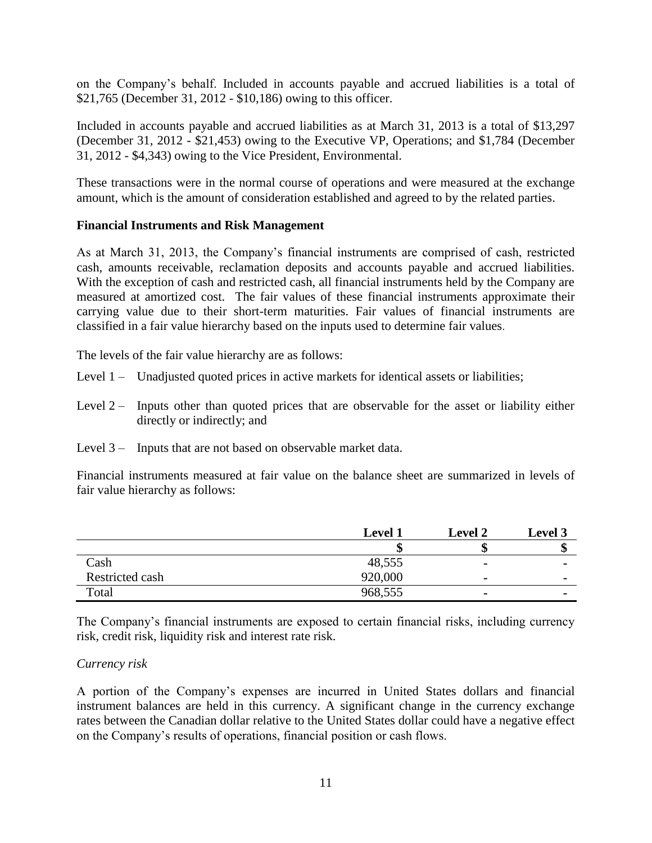on the Company's behalf. Included in accounts payable and accrued liabilities is a total of \$21,765 (December 31, 2012 - \$10,186) owing to this officer.

Included in accounts payable and accrued liabilities as at March 31, 2013 is a total of \$13,297 (December 31, 2012 - \$21,453) owing to the Executive VP, Operations; and \$1,784 (December 31, 2012 - \$4,343) owing to the Vice President, Environmental.

These transactions were in the normal course of operations and were measured at the exchange amount, which is the amount of consideration established and agreed to by the related parties.

## **Financial Instruments and Risk Management**

As at March 31, 2013, the Company's financial instruments are comprised of cash, restricted cash, amounts receivable, reclamation deposits and accounts payable and accrued liabilities. With the exception of cash and restricted cash, all financial instruments held by the Company are measured at amortized cost. The fair values of these financial instruments approximate their carrying value due to their short-term maturities. Fair values of financial instruments are classified in a fair value hierarchy based on the inputs used to determine fair values.

The levels of the fair value hierarchy are as follows:

- Level 1 Unadjusted quoted prices in active markets for identical assets or liabilities;
- Level  $2 -$  Inputs other than quoted prices that are observable for the asset or liability either directly or indirectly; and
- Level 3 Inputs that are not based on observable market data.

Financial instruments measured at fair value on the balance sheet are summarized in levels of fair value hierarchy as follows:

|                 | <b>Level 1</b> | <b>Level 2</b> | Level 3                  |
|-----------------|----------------|----------------|--------------------------|
|                 |                |                |                          |
| Cash            | 48,555         |                |                          |
| Restricted cash | 920,000        | $\blacksquare$ | $\overline{\phantom{a}}$ |
| Total           | 968,555        | $\blacksquare$ |                          |

The Company's financial instruments are exposed to certain financial risks, including currency risk, credit risk, liquidity risk and interest rate risk.

## *Currency risk*

A portion of the Company's expenses are incurred in United States dollars and financial instrument balances are held in this currency. A significant change in the currency exchange rates between the Canadian dollar relative to the United States dollar could have a negative effect on the Company's results of operations, financial position or cash flows.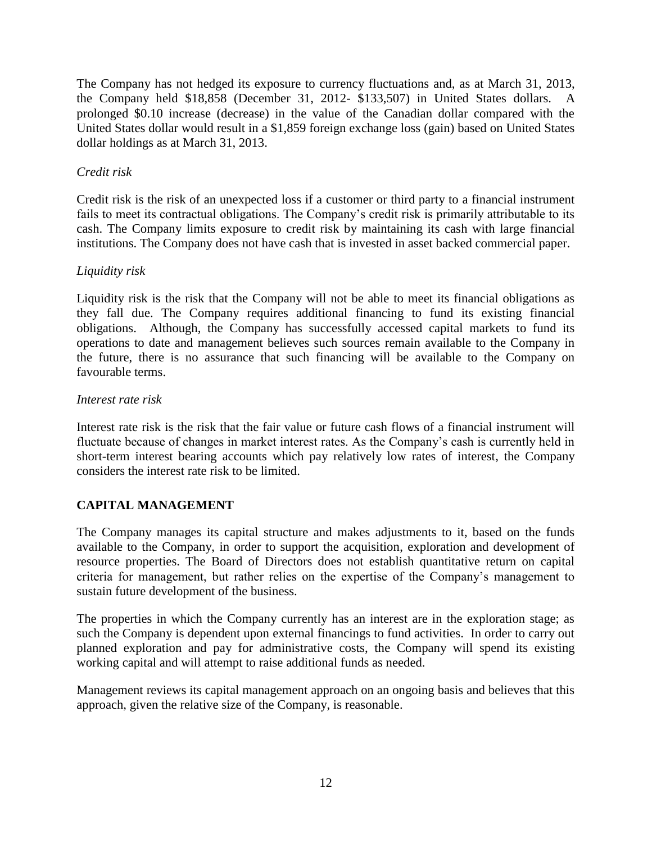The Company has not hedged its exposure to currency fluctuations and, as at March 31, 2013, the Company held \$18,858 (December 31, 2012- \$133,507) in United States dollars. A prolonged \$0.10 increase (decrease) in the value of the Canadian dollar compared with the United States dollar would result in a \$1,859 foreign exchange loss (gain) based on United States dollar holdings as at March 31, 2013.

## *Credit risk*

Credit risk is the risk of an unexpected loss if a customer or third party to a financial instrument fails to meet its contractual obligations. The Company's credit risk is primarily attributable to its cash. The Company limits exposure to credit risk by maintaining its cash with large financial institutions. The Company does not have cash that is invested in asset backed commercial paper.

## *Liquidity risk*

Liquidity risk is the risk that the Company will not be able to meet its financial obligations as they fall due. The Company requires additional financing to fund its existing financial obligations. Although, the Company has successfully accessed capital markets to fund its operations to date and management believes such sources remain available to the Company in the future, there is no assurance that such financing will be available to the Company on favourable terms.

## *Interest rate risk*

Interest rate risk is the risk that the fair value or future cash flows of a financial instrument will fluctuate because of changes in market interest rates. As the Company's cash is currently held in short-term interest bearing accounts which pay relatively low rates of interest, the Company considers the interest rate risk to be limited.

## **CAPITAL MANAGEMENT**

The Company manages its capital structure and makes adjustments to it, based on the funds available to the Company, in order to support the acquisition, exploration and development of resource properties. The Board of Directors does not establish quantitative return on capital criteria for management, but rather relies on the expertise of the Company's management to sustain future development of the business.

The properties in which the Company currently has an interest are in the exploration stage; as such the Company is dependent upon external financings to fund activities. In order to carry out planned exploration and pay for administrative costs, the Company will spend its existing working capital and will attempt to raise additional funds as needed.

Management reviews its capital management approach on an ongoing basis and believes that this approach, given the relative size of the Company, is reasonable.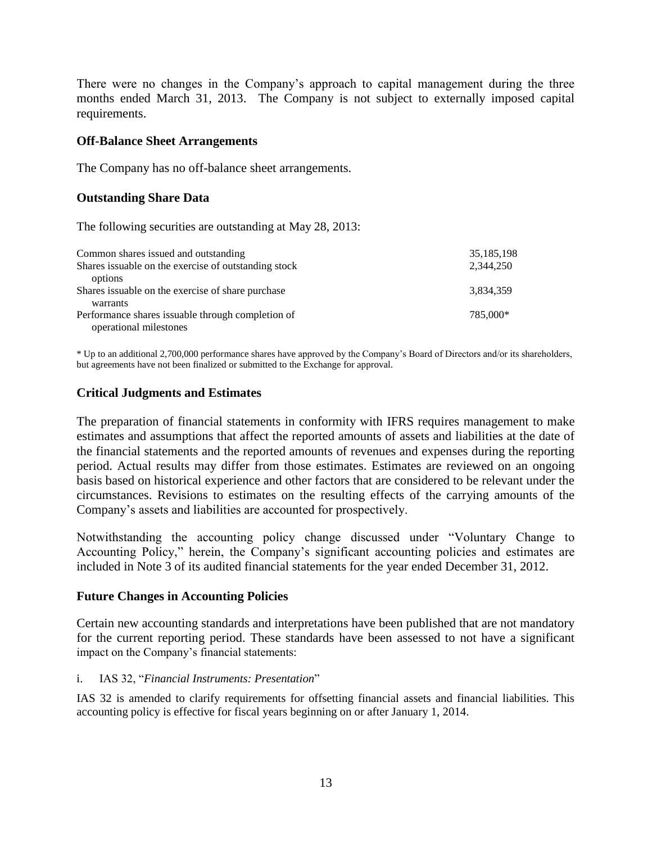There were no changes in the Company's approach to capital management during the three months ended March 31, 2013. The Company is not subject to externally imposed capital requirements.

#### **Off-Balance Sheet Arrangements**

The Company has no off-balance sheet arrangements.

## **Outstanding Share Data**

The following securities are outstanding at May 28, 2013:

| Common shares issued and outstanding                  | 35,185,198 |
|-------------------------------------------------------|------------|
| Shares is suable on the exercise of outstanding stock | 2,344,250  |
| options                                               |            |
| Shares is suable on the exercise of share purchase    | 3,834,359  |
| warrants                                              |            |
| Performance shares issuable through completion of     | 785,000*   |
| operational milestones                                |            |

\* Up to an additional 2,700,000 performance shares have approved by the Company's Board of Directors and/or its shareholders, but agreements have not been finalized or submitted to the Exchange for approval.

## **Critical Judgments and Estimates**

The preparation of financial statements in conformity with IFRS requires management to make estimates and assumptions that affect the reported amounts of assets and liabilities at the date of the financial statements and the reported amounts of revenues and expenses during the reporting period. Actual results may differ from those estimates. Estimates are reviewed on an ongoing basis based on historical experience and other factors that are considered to be relevant under the circumstances. Revisions to estimates on the resulting effects of the carrying amounts of the Company's assets and liabilities are accounted for prospectively.

Notwithstanding the accounting policy change discussed under "Voluntary Change to Accounting Policy," herein, the Company's significant accounting policies and estimates are included in Note 3 of its audited financial statements for the year ended December 31, 2012.

## **Future Changes in Accounting Policies**

Certain new accounting standards and interpretations have been published that are not mandatory for the current reporting period. These standards have been assessed to not have a significant impact on the Company's financial statements:

## i. IAS 32, "*Financial Instruments: Presentation*"

IAS 32 is amended to clarify requirements for offsetting financial assets and financial liabilities. This accounting policy is effective for fiscal years beginning on or after January 1, 2014.